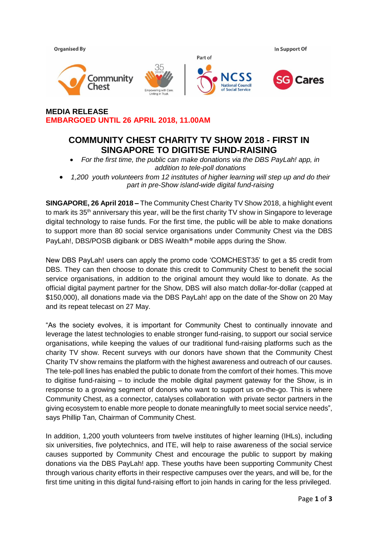

**MEDIA RELEASE EMBARGOED UNTIL 26 APRIL 2018, 11.00AM**

# **COMMUNITY CHEST CHARITY TV SHOW 2018 - FIRST IN SINGAPORE TO DIGITISE FUND-RAISING**

- *For the first time, the public can make donations via the DBS PayLah! app, in addition to tele-poll donations*
- *1,200 youth volunteers from 12 institutes of higher learning will step up and do their part in pre-Show island-wide digital fund-raising*

**SINGAPORE, 26 April 2018 –** The Community Chest Charity TV Show 2018, a highlight event to mark its  $35<sup>th</sup>$  anniversary this year, will be the first charity TV show in Singapore to leverage digital technology to raise funds. For the first time, the public will be able to make donations to support more than 80 social service organisations under Community Chest via the DBS PayLah!, DBS/POSB digibank or DBS iWealth*®* mobile apps during the Show.

New DBS PayLah! users can apply the promo code 'COMCHEST35' to get a \$5 credit from DBS. They can then choose to donate this credit to Community Chest to benefit the social service organisations, in addition to the original amount they would like to donate. As the official digital payment partner for the Show, DBS will also match dollar-for-dollar (capped at \$150,000), all donations made via the DBS PayLah! app on the date of the Show on 20 May and its repeat telecast on 27 May.

"As the society evolves, it is important for Community Chest to continually innovate and leverage the latest technologies to enable stronger fund-raising, to support our social service organisations, while keeping the values of our traditional fund-raising platforms such as the charity TV show. Recent surveys with our donors have shown that the Community Chest Charity TV show remains the platform with the highest awareness and outreach of our causes. The tele-poll lines has enabled the public to donate from the comfort of their homes. This move to digitise fund-raising – to include the mobile digital payment gateway for the Show, is in response to a growing segment of donors who want to support us on-the-go. This is where Community Chest, as a connector, catalyses collaboration with private sector partners in the giving ecosystem to enable more people to donate meaningfully to meet social service needs", says Phillip Tan, Chairman of Community Chest.

In addition, 1,200 youth volunteers from twelve institutes of higher learning (IHLs), including six universities, five polytechnics, and ITE, will help to raise awareness of the social service causes supported by Community Chest and encourage the public to support by making donations via the DBS PayLah! app. These youths have been supporting Community Chest through various charity efforts in their respective campuses over the years, and will be, for the first time uniting in this digital fund-raising effort to join hands in caring for the less privileged.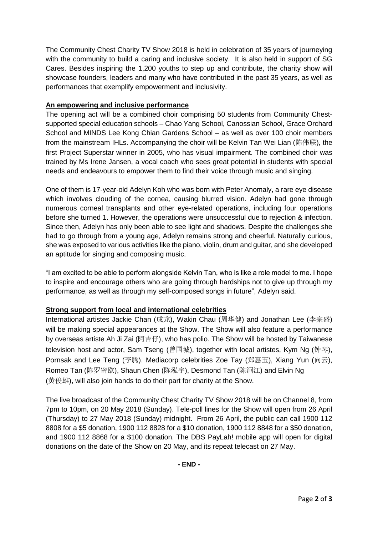The Community Chest Charity TV Show 2018 is held in celebration of 35 years of journeying with the community to build a caring and inclusive society. It is also held in support of SG Cares. Besides inspiring the 1,200 youths to step up and contribute, the charity show will showcase founders, leaders and many who have contributed in the past 35 years, as well as performances that exemplify empowerment and inclusivity.

### **An empowering and inclusive performance**

The opening act will be a combined choir comprising 50 students from Community Chestsupported special education schools – Chao Yang School, Canossian School, Grace Orchard School and MINDS Lee Kong Chian Gardens School – as well as over 100 choir members from the mainstream IHLs. Accompanying the choir will be Kelvin Tan Wei Lian (陈伟联), the first Project Superstar winner in 2005, who has visual impairment. The combined choir was trained by Ms Irene Jansen, a vocal coach who sees great potential in students with special needs and endeavours to empower them to find their voice through music and singing.

One of them is 17-year-old Adelyn Koh who was born with Peter Anomaly, a rare eye disease which involves clouding of the cornea, causing blurred vision. Adelyn had gone through numerous corneal transplants and other eye-related operations, including four operations before she turned 1. However, the operations were unsuccessful due to rejection & infection. Since then, Adelyn has only been able to see light and shadows. Despite the challenges she had to go through from a young age, Adelyn remains strong and cheerful. Naturally curious, she was exposed to various activities like the piano, violin, drum and guitar, and she developed an aptitude for singing and composing music.

"I am excited to be able to perform alongside Kelvin Tan, who is like a role model to me. I hope to inspire and encourage others who are going through hardships not to give up through my performance, as well as through my self-composed songs in future", Adelyn said.

## **Strong support from local and international celebrities**

International artistes Jackie Chan (成龙), Wakin Chau (周华健) and Jonathan Lee (李宗盛) will be making special appearances at the Show. The Show will also feature a performance by overseas artiste Ah Ji Zai (阿吉仔), who has polio. The Show will be hosted by Taiwanese television host and actor, Sam Tseng (曾国城), together with local artistes, Kym Ng (钟琴), Pornsak and Lee Teng (李腾). Mediacorp celebrities Zoe Tay (郑惠玉), Xiang Yun (向云), Romeo Tan (陈罗密欧), Shaun Chen (陈泓宇), Desmond Tan (陈泂江) and Elvin Ng (黄俊雄), will also join hands to do their part for charity at the Show.

The live broadcast of the Community Chest Charity TV Show 2018 will be on Channel 8, from 7pm to 10pm, on 20 May 2018 (Sunday). Tele-poll lines for the Show will open from 26 April (Thursday) to 27 May 2018 (Sunday) midnight. From 26 April, the public can call 1900 112 8808 for a \$5 donation, 1900 112 8828 for a \$10 donation, 1900 112 8848 for a \$50 donation, and 1900 112 8868 for a \$100 donation. The DBS PayLah! mobile app will open for digital donations on the date of the Show on 20 May, and its repeat telecast on 27 May.